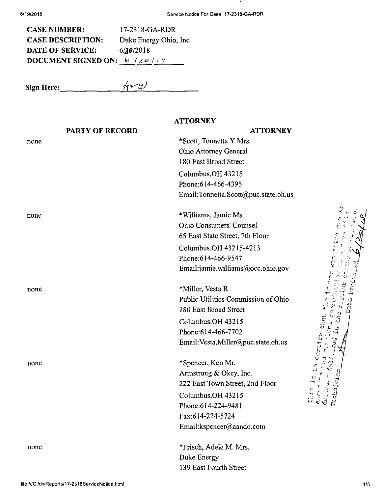| <b>CASE NUMBER:</b>                             | 17-2318-GA-RDR         |
|-------------------------------------------------|------------------------|
| <b>CASE DESCRIPTION:</b>                        | Duke Energy Ohio, Inc. |
| <b>DATE OF SERVICE:</b>                         | 6/10/2018              |
| <b>DOCUMENT SIGNED ON:</b> $\frac{6}{2}$ /20/17 |                        |

**Sign Here:\_**

## **ATTORNEY PARTY OF RECORD ATTORNEY** \*Scott, Tonnetta Y Mrs. none Ohio Attorney General 180 East Broad Street Columbus,OH 43215 Phone:614-466-4395 Email:Tonnetta.Scott@puc.state.oh.us \*WiIliams, Jamie Ms. none Ohio Consumers' Counsel 65 East State Street, 7th Floor Columbus,OH 43215-4213 Phone;614-466-9547 Email:jamie.williams@occ.ohio.gov \*Miller, Vesta R none Public Utilities Commission of Ohio 180 East Broad Street Columbus,OH 43215 Phone;614-466-7702 to cortify Email:Vesta.Miller@puc.state.oh.us \* Spencer, Ken Mr. none Armstrong & Okey, Inc. This is<br>Scottered<br>Company<br>Technici<sub>e</sub> 222 East Town Street, 2nd Floor Columbus,OH 43215 Phone:614-224-9481 Fax:614-224-5724 Email:kspencer@aando.com none \*Frisch, Adele M. Mrs. Duke Energy 139 East Fourth Street

م<br>دیگر

that

is<br>O

 $\hat{C}$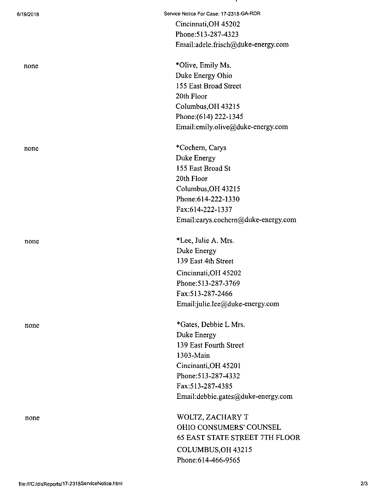| 6/19/2018 | Service Notice For Case: 17-2318-GA-RDR |
|-----------|-----------------------------------------|
|           | Cincinnati, OH 45202                    |
|           | Phone: 513-287-4323                     |
|           | Email:adele.frisch@duke-energy.com      |
| none      | *Olive, Emily Ms.                       |
|           | Duke Energy Ohio                        |
|           | 155 East Broad Street                   |
|           | 20th Floor                              |
|           | Columbus, OH 43215                      |
|           | Phone: (614) 222-1345                   |
|           | Email:emily.olive@duke-energy.com       |
| none      | *Cochern, Carys                         |
|           | Duke Energy                             |
|           | 155 East Broad St                       |
|           | 20th Floor                              |
|           | Columbus, OH 43215                      |
|           | Phone: 614-222-1330                     |
|           | Fax:614-222-1337                        |
|           | Email:carys.cochern@duke-energy.com     |
| none      | *Lee, Julie A. Mrs.                     |
|           | Duke Energy                             |
|           | 139 East 4th Street                     |
|           | Cincinnati, OH 45202                    |
|           | Phone: 513-287-3769                     |
|           | Fax:513-287-2466                        |
|           | Email:julie.lee@duke-energy.com         |
| none      | *Gates, Debbie L Mrs.                   |
|           | Duke Energy                             |
|           | 139 East Fourth Street                  |
|           | 1303-Main                               |
|           | Cincinanti, OH 45201                    |
|           | Phone: 513-287-4332                     |
|           | Fax: 513-287-4385                       |
|           | Email:debbie.gates@duke-energy.com      |
| none      | WOLTZ, ZACHARY T                        |
|           | <b>OHIO CONSUMERS' COUNSEL</b>          |
|           | <b>65 EAST STATE STREET 7TH FLOOR</b>   |
|           | COLUMBUS, OH 43215                      |
|           | Phone: 614-466-9565                     |

 $\cdot$